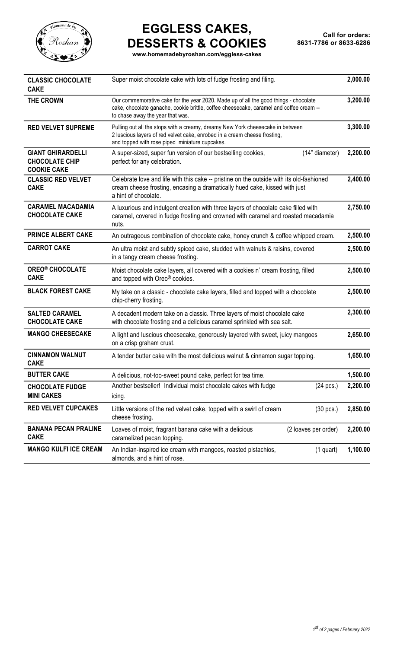

## **EGGLESS CAKES, DESSERTS & COOKIES**

**www.homemadebyroshan.com/eggless-cakes**

| <b>CLASSIC CHOCOLATE</b><br><b>CAKE</b>                                 | Super moist chocolate cake with lots of fudge frosting and filing.                                                                                                                                                  |          |  |
|-------------------------------------------------------------------------|---------------------------------------------------------------------------------------------------------------------------------------------------------------------------------------------------------------------|----------|--|
| THE CROWN                                                               | Our commemorative cake for the year 2020. Made up of all the good things - chocolate<br>cake, chocolate ganache, cookie brittle, coffee cheesecake, caramel and coffee cream --<br>to chase away the year that was. | 3,200.00 |  |
| <b>RED VELVET SUPREME</b>                                               | Pulling out all the stops with a creamy, dreamy New York cheesecake in between<br>2 luscious layers of red velvet cake, enrobed in a cream cheese frosting,<br>and topped with rose piped miniature cupcakes.       |          |  |
| <b>GIANT GHIRARDELLI</b><br><b>CHOCOLATE CHIP</b><br><b>COOKIE CAKE</b> | (14" diameter)<br>A super-sized, super fun version of our bestselling cookies,<br>perfect for any celebration.                                                                                                      | 2,200.00 |  |
| <b>CLASSIC RED VELVET</b><br><b>CAKE</b>                                | Celebrate love and life with this cake -- pristine on the outside with its old-fashioned<br>cream cheese frosting, encasing a dramatically hued cake, kissed with just<br>a hint of chocolate.                      |          |  |
| <b>CARAMEL MACADAMIA</b><br><b>CHOCOLATE CAKE</b>                       | A luxurious and indulgent creation with three layers of chocolate cake filled with<br>caramel, covered in fudge frosting and crowned with caramel and roasted macadamia<br>nuts.                                    |          |  |
| <b>PRINCE ALBERT CAKE</b>                                               | An outrageous combination of chocolate cake, honey crunch & coffee whipped cream.                                                                                                                                   |          |  |
| <b>CARROT CAKE</b>                                                      | An ultra moist and subtly spiced cake, studded with walnuts & raisins, covered<br>in a tangy cream cheese frosting.                                                                                                 |          |  |
| <b>OREO® CHOCOLATE</b><br><b>CAKE</b>                                   | Moist chocolate cake layers, all covered with a cookies n' cream frosting, filled<br>and topped with Oreo® cookies.                                                                                                 |          |  |
| <b>BLACK FOREST CAKE</b>                                                | My take on a classic - chocolate cake layers, filled and topped with a chocolate<br>chip-cherry frosting.                                                                                                           |          |  |
| <b>SALTED CARAMEL</b><br><b>CHOCOLATE CAKE</b>                          | A decadent modern take on a classic. Three layers of moist chocolate cake<br>with chocolate frosting and a delicious caramel sprinkled with sea salt.                                                               |          |  |
| <b>MANGO CHEESECAKE</b>                                                 | A light and luscious cheesecake, generously layered with sweet, juicy mangoes<br>on a crisp graham crust.                                                                                                           |          |  |
| <b>CINNAMON WALNUT</b><br><b>CAKE</b>                                   | A tender butter cake with the most delicious walnut & cinnamon sugar topping.                                                                                                                                       |          |  |
| <b>BUTTER CAKE</b>                                                      | A delicious, not-too-sweet pound cake, perfect for tea time.                                                                                                                                                        | 1,500.00 |  |
| <b>CHOCOLATE FUDGE</b><br><b>MINI CAKES</b>                             | Another bestseller! Individual moist chocolate cakes with fudge<br>$(24 \text{ pcs.})$<br>icing.                                                                                                                    | 2,200.00 |  |
| <b>RED VELVET CUPCAKES</b>                                              | Little versions of the red velvet cake, topped with a swirl of cream<br>$(30 \text{ pcs.})$<br>cheese frosting.                                                                                                     | 2,850.00 |  |
| <b>BANANA PECAN PRALINE</b><br><b>CAKE</b>                              | (2 loaves per order)<br>Loaves of moist, fragrant banana cake with a delicious<br>caramelized pecan topping.                                                                                                        | 2,200.00 |  |
| <b>MANGO KULFI ICE CREAM</b>                                            | An Indian-inspired ice cream with mangoes, roasted pistachios,<br>$(1$ quart)<br>almonds, and a hint of rose.                                                                                                       | 1,100.00 |  |